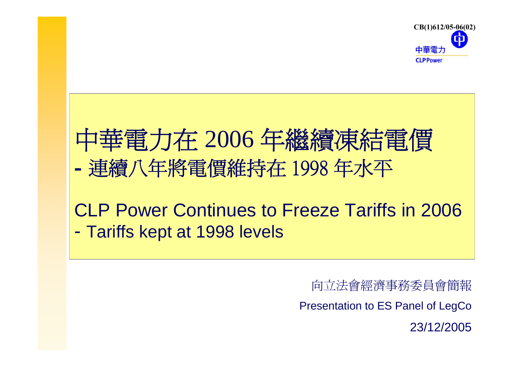

# 中華電力在 <sup>2006</sup> 年繼續凍結電價 連續八年將電價維持在 1998 年水平

#### CLP Power Continues to Freeze Tariffs in 2006 -Tariffs kept at 1998 levels

向立法會經濟事務委員會簡報 Presentation to ES Panel of LegCo

23/12/2005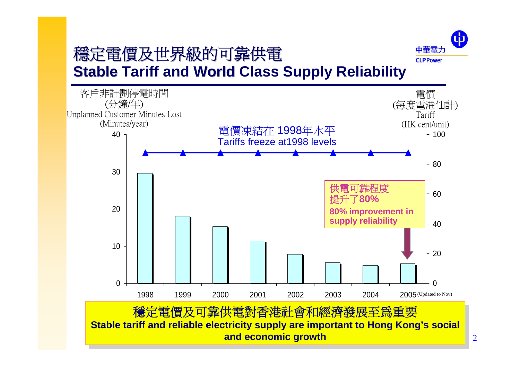# 穩定電價及世界級的可靠供電 **Stable Tariff and World Class Supply Reliability**



 $\bigoplus$ 

中華電力 **CLP Power**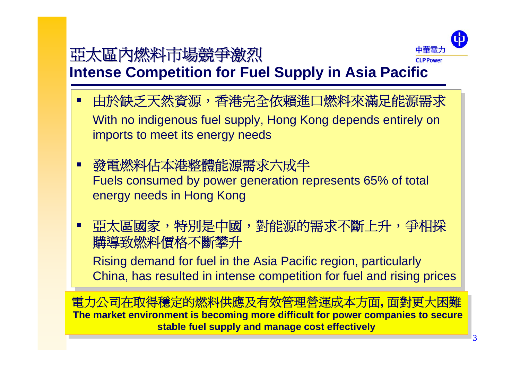# 亞太區內燃料市場競爭激烈



3

**Intense Competition for Fuel Supply in Asia Pacific**

- 由於缺乏天然資源,香港完全依賴進口燃料來滿足能源需求 由於缺乏天然資源,香港完全依賴進口燃料來滿足能源需求 With no indigenous fuel supply, Hong Kong depends entirely on With no indigenous fuel supply, Hong Kong depends entirely on imports to meet its energy needs imports to meet its energy needs T.
- 發電燃料佔本港整體能源需求六成半 發電燃料佔本港整體能源需求六成半 Fuels consumed by power generation represents 65% of total Fuels consumed by power generation represents 65% of total energy needs in Hong Kong energy needs in Hong Kong T.
- 亞太區國家,特別是中國,對能源的需求不斷上升,爭相採 亞太區國家,特別是中國,對能源的需求不斷上升,爭相採 購導致燃料價格不斷攀升 購導致燃料價格不斷攀升

Rising demand for fuel in the Asia Pacific region, particularly Rising demand for fuel in the Asia Pacific region, particularly China, has resulted in intense competition for fuel and rising prices China, has resulted in intense competition for fuel and rising prices

電力公司在取得穩定的燃料供應及有效管理營運成本方面**,** 面對更大困難 電力公司在取得穩定的燃料供應及有效管理營運成本方面**,** 面對更大困難 **The market environment is becoming more difficult for power companies to secure The market environment is becoming more difficult for power companies to secure stable fuel supply and manage cost effectively stable fuel supply and manage cost effectively**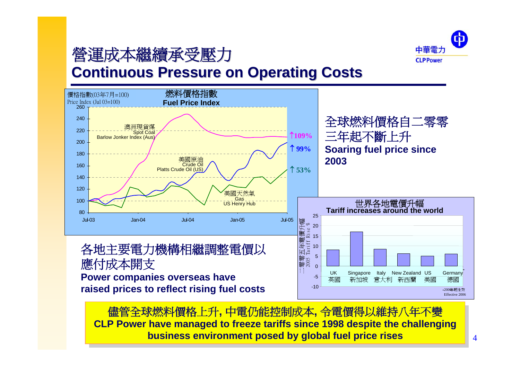

# 營運成本繼續承受壓力 營運成本繼續承受壓力

#### **Continuous Pressure on Operating Costs**



儘管全球燃料價格上升**,** 中電仍能控制成本**,** 令電價得以維持八年不變 儘管全球燃料價格上升**,** 中電仍能控制成本**,** 令電價得以維持八年不變 **CLP Power have managed to freeze tariffs since 1998 despite the challenging CLP Power have managed to freeze tariffs since 1998 despite the challenging business environment posed by global fuel price rises business environment posed by global fuel price rises**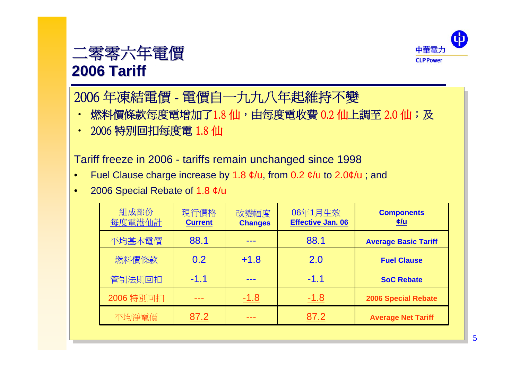

### 二零零六年電價 **2006 Tariff**

# 2006 年凍結電價 - 電價自一九九八年起維持不變 2006 年凍結電價 - 電價自一九九八年起維持不變

- 燃料價條款每度電增加了1.8 仙,由每度電收費 0.2 仙上調至 2.0 仙;及  $\bullet$
- ‧ 2006 特別回扣每度電 1.8 仙 ‧ 2006 特別回扣每度電 1.8 仙

Tariff freeze in 2006 - tariffs remain unchanged since 1998 Tariff freeze in 2006 - tariffs remain unchanged since 1998

- Fuel Clause charge increase by 1.8  $\phi$ /u, from 0.2  $\phi$ /u to 2.0 $\phi$ /u ; and •
- 2006 Special Rebate of 1.8 ¢/u 2006 Special Rebate of 1.8 ¢/u •

| 組成部份<br>每度電港仙計 | 現行價格<br><b>Current</b> | 改變幅度<br><b>Changes</b> | 06年1月生效<br><b>Effective Jan. 06</b> | <b>Components</b><br>c/u    |
|----------------|------------------------|------------------------|-------------------------------------|-----------------------------|
| 平均基本電價         | 88.1                   |                        | 88.1                                | <b>Average Basic Tariff</b> |
| 燃料價條款          | 0.2                    | $+1.8$                 | 2.0                                 | <b>Fuel Clause</b>          |
| 管制法則回扣         | $-1.1$                 |                        | $-1.1$                              | <b>SoC Rebate</b>           |
| 2006 特別回扣      |                        | $-1.8$                 | $-1.8$                              | <b>2006 Special Rebate</b>  |
| 平均淨電價          | 87.2                   |                        | 87.2                                | <b>Average Net Tariff</b>   |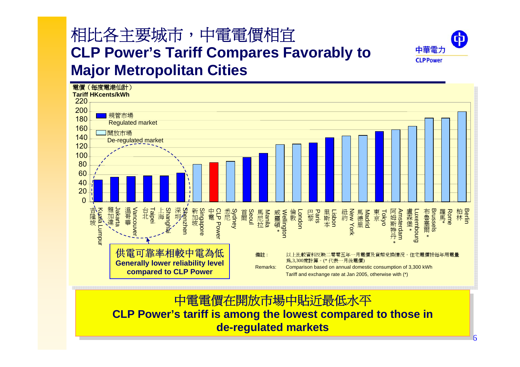# 相比各主要城市,中電電價相宜 **CLP Power's Tariff Compares Favorably to Major Metropolitan Cities**



電價(每度電港仙計) **Tariff HKcents/kWh**220200規管市場 180Regulated market 160開放市場 140De-regulated market 12010080604020 $\Omega$ 溫哥華 雅加達<br>·<br>· 中電<br>Power<br>Reprose 吉隆坡<br>Kuada Lumpu Kuala Lumpur Vancouver 台 Haipei<br>北 <sup>海</sup><br>- Aipei 深圳Shenzhen<br>Shenzhen 阿姆斯特丹 新加坡<br>加坡<br>engapore CLP Power 悉Sydney<br><sub>Co</sub> 布魯塞爾 Brussels 柏 Berlin<br>林 Im 首Seoul<br>爾o<u>u</u> 倫敦 London 里斯<br>斯<br>本<br>1 紐<br>Kew York<br>York<br>York Amsterdam Luxembourg 羅馬·<br><br><br><br><br><br><br><br><br><br><br><br><br><br><br><br><br><br><br><br><br><br><br><br><br><br><br><br><br><br><br><br><br><br> 馬尼拉 Manila 威靈頓 \*<br>Wellington 巴<br>黎<br>Bang 東京 盧森堡 Tokyo nxembourg \* \* \* \* 供電可靠率相較中電為低 備註 : 以上比較資料反映二零零五年一月電價及貨幣兌換情況。住宅電價按每年用電量 為,3,300度計算。(\* 代表一月後電價) **Generally lower reliability level**  Remarks: Comparison based on annual domestic consumption of 3,300 kWh **compared to CLP Power** Tariff and exchange rate at Jan 2005, otherwise with (\*)

> 中電電價在開放市場中貼近最低水平 中電電價在開放市場中貼近最低水平 **CLP Power's tariff is among the lowest compared to those in CLP Power's tariff is among the lowest compared to those in de-regulated markets de-regulated markets**